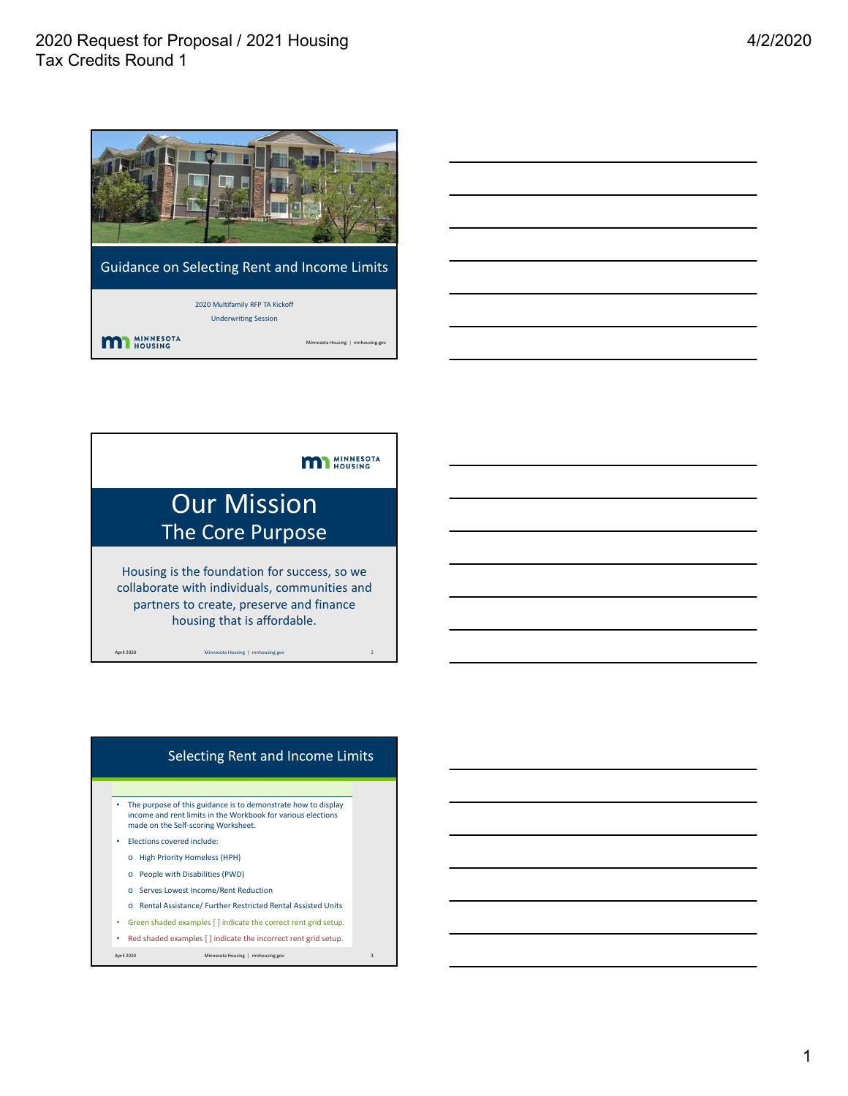

Guidance on Selecting Rent and Income Limits

 $ing \mid mnh$ 

2020 Multifamily RFP TA Kickoff Underwriting Session **MI MINNESOTA** 



#### Selecting Rent and Income Limits

• The purpose of this guidance is to demonstrate how to display income and rent limits in the Workbook for various elections made on the Self‐scoring Worksheet.

- Elections covered include:
- o High Priority Homeless (HPH)
- o People with Disabilities (PWD)
- o Serves Lowest Income/Rent Reduction
- o Rental Assistance/ Further Restricted Rental Assisted Units
- Green shaded examples [ ] indicate the correct rent grid setup.
- Red shaded examples [ ] indicate the incorrect rent grid setup.

April 2020 Minnesota Housing | mnhousing.gov 3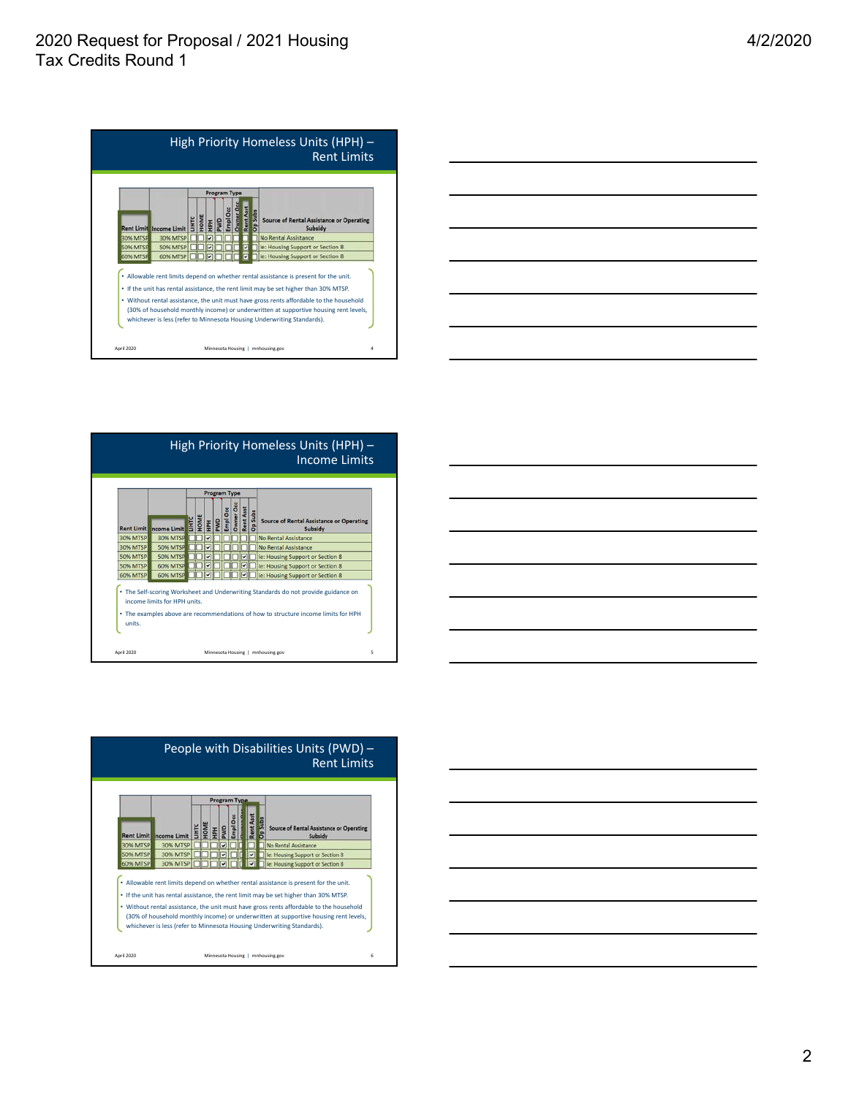



| Owner Oc<br>Rent Asst<br>HPH<br>PWD<br>Empl Occ<br>Op Subs<br>HOME<br>E<br><b>Source of Rental Assistance or Operating</b> |
|----------------------------------------------------------------------------------------------------------------------------|
| <b>Rent Limit ncome Limit</b><br>Subsidy                                                                                   |
| 30% MTSP<br><b>30% MTSP</b><br>No Rental Assistance<br>ᢦ                                                                   |
| <b>30% MTSP</b><br><b>50% MTSP</b><br><b>No Rental Assistance</b><br>᠊                                                     |
| <b>50% MTSP</b><br>50% MTSP<br>ie: Housing Support or Section 8<br>$\overline{\mathbf{v}}$<br>v                            |
| <b>60% MTSP</b><br><b>50% MTSP</b><br>v<br>v<br>ie: Housing Support or Section 8                                           |
| <b>60% MTSP</b><br><b>60% MTSP</b><br>$\overline{\mathbf{v}}$<br>◡<br>ie: Housing Support or Section 8                     |





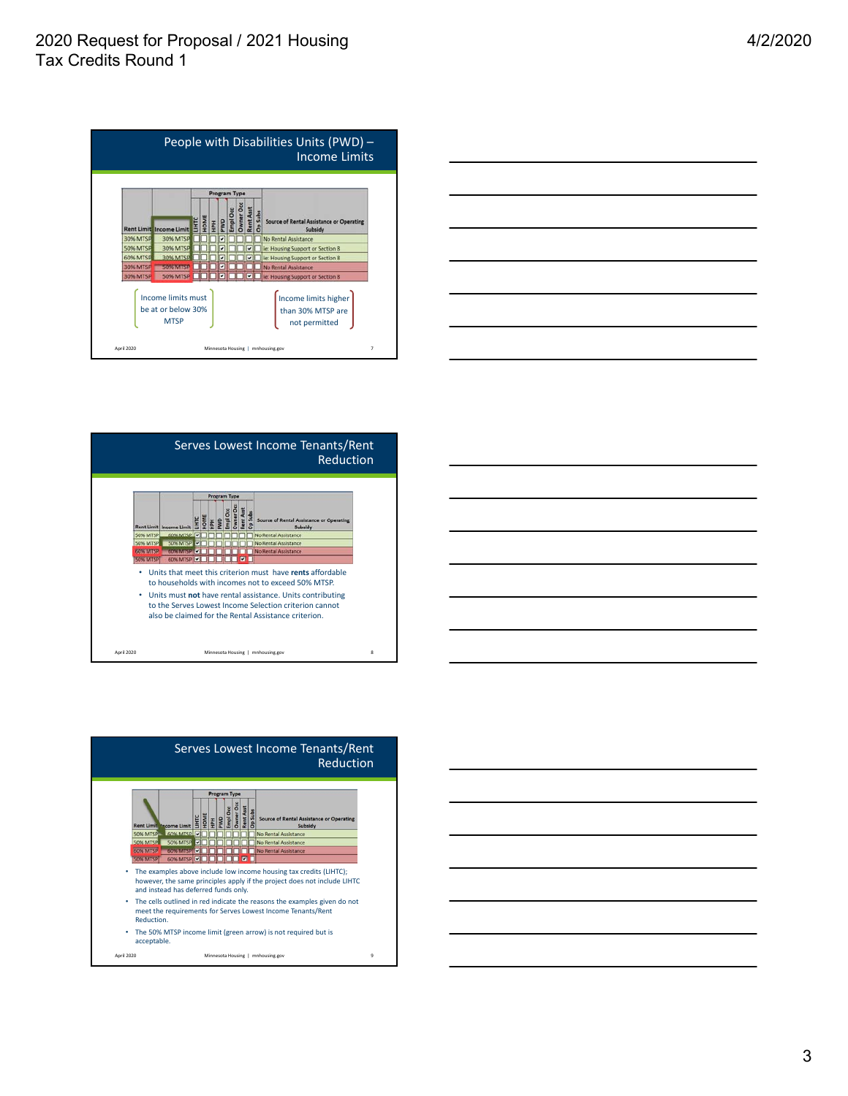









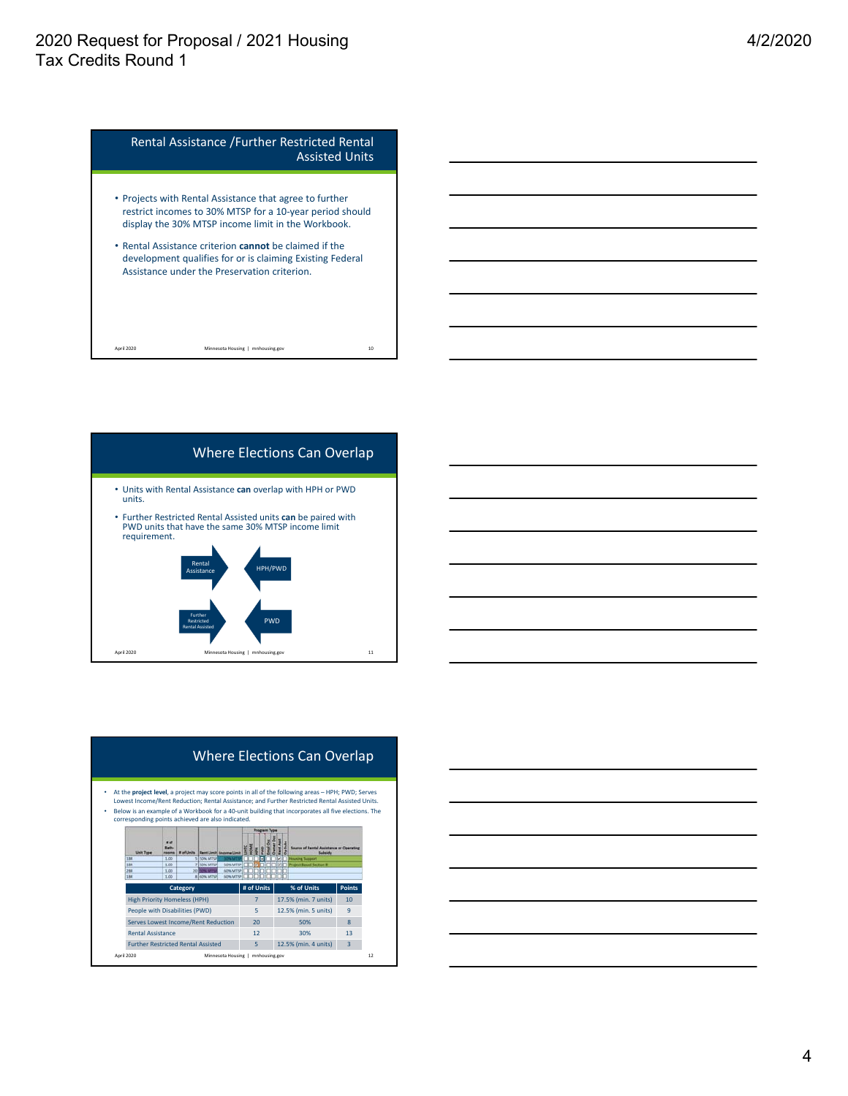